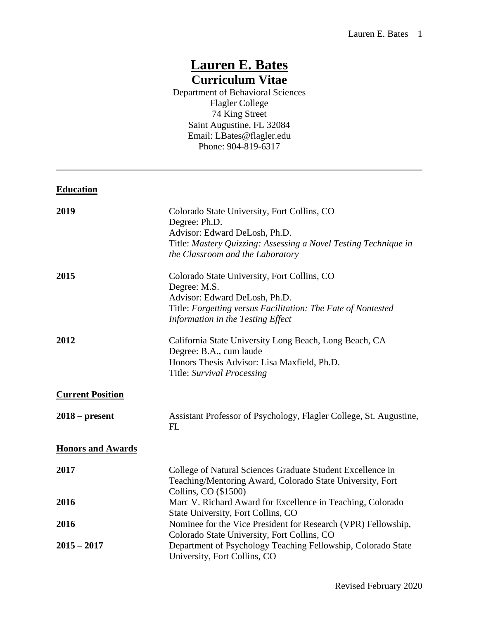# **Lauren E. Bates Curriculum Vitae**

Department of Behavioral Sciences Flagler College 74 King Street Saint Augustine, FL 32084 Email: LBates@flagler.edu Phone: 904-819-6317

## **Education**

| 2019                     | Colorado State University, Fort Collins, CO<br>Degree: Ph.D.                                                                                                                                      |
|--------------------------|---------------------------------------------------------------------------------------------------------------------------------------------------------------------------------------------------|
|                          | Advisor: Edward DeLosh, Ph.D.<br>Title: Mastery Quizzing: Assessing a Novel Testing Technique in<br>the Classroom and the Laboratory                                                              |
| 2015                     | Colorado State University, Fort Collins, CO<br>Degree: M.S.<br>Advisor: Edward DeLosh, Ph.D.<br>Title: Forgetting versus Facilitation: The Fate of Nontested<br>Information in the Testing Effect |
| 2012                     | California State University Long Beach, Long Beach, CA<br>Degree: B.A., cum laude<br>Honors Thesis Advisor: Lisa Maxfield, Ph.D.<br>Title: Survival Processing                                    |
| <b>Current Position</b>  |                                                                                                                                                                                                   |
| $2018$ – present         | Assistant Professor of Psychology, Flagler College, St. Augustine,<br><b>FL</b>                                                                                                                   |
| <b>Honors and Awards</b> |                                                                                                                                                                                                   |
| 2017                     | College of Natural Sciences Graduate Student Excellence in<br>Teaching/Mentoring Award, Colorado State University, Fort<br>Collins, CO (\$1500)                                                   |
| 2016                     | Marc V. Richard Award for Excellence in Teaching, Colorado<br>State University, Fort Collins, CO                                                                                                  |
| 2016                     | Nominee for the Vice President for Research (VPR) Fellowship,<br>Colorado State University, Fort Collins, CO                                                                                      |
| $2015 - 2017$            | Department of Psychology Teaching Fellowship, Colorado State<br>University, Fort Collins, CO                                                                                                      |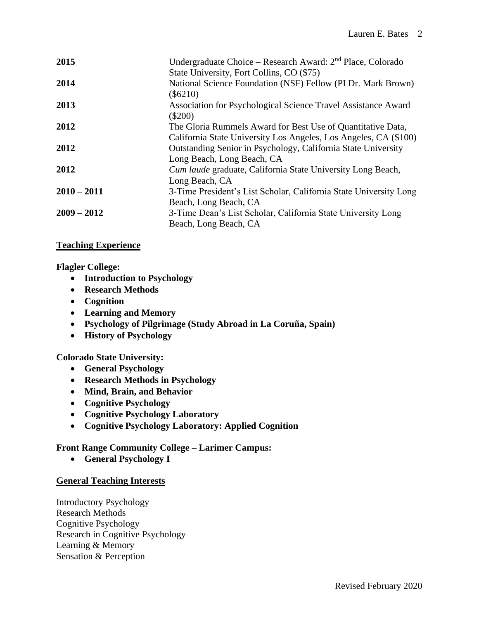| 2015          | Undergraduate Choice – Research Award: $2nd$ Place, Colorado<br>State University, Fort Collins, CO (\$75)                       |
|---------------|---------------------------------------------------------------------------------------------------------------------------------|
| 2014          | National Science Foundation (NSF) Fellow (PI Dr. Mark Brown)<br>$(\$6210)$                                                      |
| 2013          | Association for Psychological Science Travel Assistance Award<br>$(\$200)$                                                      |
| 2012          | The Gloria Rummels Award for Best Use of Quantitative Data,<br>California State University Los Angeles, Los Angeles, CA (\$100) |
| 2012          | Outstanding Senior in Psychology, California State University<br>Long Beach, Long Beach, CA                                     |
| 2012          | <i>Cum laude</i> graduate, California State University Long Beach,<br>Long Beach, CA                                            |
| $2010 - 2011$ | 3-Time President's List Scholar, California State University Long<br>Beach, Long Beach, CA                                      |
| $2009 - 2012$ | 3-Time Dean's List Scholar, California State University Long<br>Beach, Long Beach, CA                                           |

## **Teaching Experience**

## **Flagler College:**

- **Introduction to Psychology**
- **Research Methods**
- **Cognition**
- **Learning and Memory**
- **Psychology of Pilgrimage (Study Abroad in La Coruña, Spain)**
- **History of Psychology**

# **Colorado State University:**

- **General Psychology**
- **Research Methods in Psychology**
- **Mind, Brain, and Behavior**
- **Cognitive Psychology**
- **Cognitive Psychology Laboratory**
- **Cognitive Psychology Laboratory: Applied Cognition**

# **Front Range Community College – Larimer Campus:**

• **General Psychology I**

# **General Teaching Interests**

Introductory Psychology Research Methods Cognitive Psychology Research in Cognitive Psychology Learning & Memory Sensation & Perception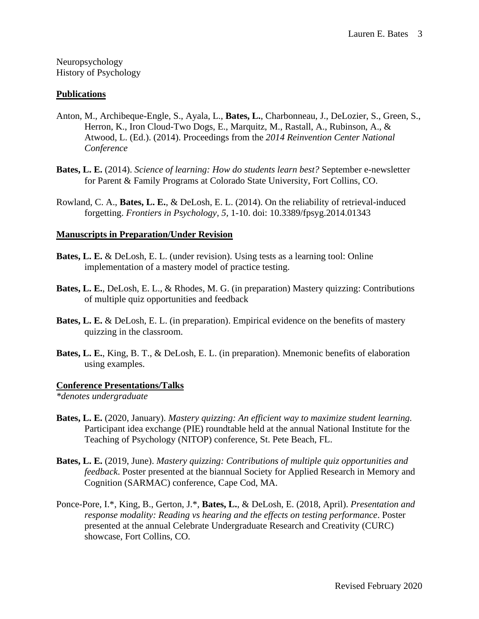Neuropsychology History of Psychology

#### **Publications**

- Anton, M., Archibeque-Engle, S., Ayala, L., **Bates, L.**, Charbonneau, J., DeLozier, S., Green, S., Herron, K., Iron Cloud-Two Dogs, E., Marquitz, M., Rastall, A., Rubinson, A., & Atwood, L. (Ed.). (2014). Proceedings from the *2014 Reinvention Center National Conference*
- **Bates, L. E.** (2014). *Science of learning: How do students learn best?* September e-newsletter for Parent & Family Programs at Colorado State University, Fort Collins, CO.
- Rowland, C. A., **Bates, L. E.**, & DeLosh, E. L. (2014). On the reliability of retrieval-induced forgetting. *Frontiers in Psychology, 5,* 1-10. doi: 10.3389/fpsyg.2014.01343

#### **Manuscripts in Preparation/Under Revision**

- **Bates, L. E.** & DeLosh, E. L. (under revision). Using tests as a learning tool: Online implementation of a mastery model of practice testing.
- **Bates, L. E.**, DeLosh, E. L., & Rhodes, M. G. (in preparation) Mastery quizzing: Contributions of multiple quiz opportunities and feedback
- **Bates, L. E.** & DeLosh, E. L. (in preparation). Empirical evidence on the benefits of mastery quizzing in the classroom.
- **Bates, L. E.**, King, B. T., & DeLosh, E. L. (in preparation). Mnemonic benefits of elaboration using examples.

#### **Conference Presentations/Talks**

*\*denotes undergraduate*

- **Bates, L. E.** (2020, January). *Mastery quizzing: An efficient way to maximize student learning.* Participant idea exchange (PIE) roundtable held at the annual National Institute for the Teaching of Psychology (NITOP) conference, St. Pete Beach, FL.
- **Bates, L. E.** (2019, June). *Mastery quizzing: Contributions of multiple quiz opportunities and feedback*. Poster presented at the biannual Society for Applied Research in Memory and Cognition (SARMAC) conference, Cape Cod, MA.
- Ponce-Pore, I.\*, King, B., Gerton, J.\*, **Bates, L.**, & DeLosh, E. (2018, April). *Presentation and response modality: Reading vs hearing and the effects on testing performance*. Poster presented at the annual Celebrate Undergraduate Research and Creativity (CURC) showcase, Fort Collins, CO.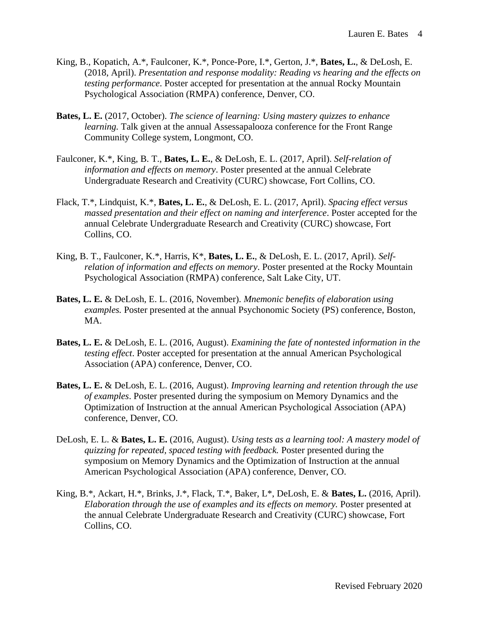- King, B., Kopatich, A.\*, Faulconer, K.\*, Ponce-Pore, I.\*, Gerton, J.\*, **Bates, L.**, & DeLosh, E. (2018, April). *Presentation and response modality: Reading vs hearing and the effects on testing performance*. Poster accepted for presentation at the annual Rocky Mountain Psychological Association (RMPA) conference, Denver, CO.
- **Bates, L. E.** (2017, October). *The science of learning: Using mastery quizzes to enhance learning.* Talk given at the annual Assessapalooza conference for the Front Range Community College system, Longmont, CO.
- Faulconer, K.\*, King, B. T., **Bates, L. E.**, & DeLosh, E. L. (2017, April). *Self-relation of information and effects on memory*. Poster presented at the annual Celebrate Undergraduate Research and Creativity (CURC) showcase, Fort Collins, CO.
- Flack, T.\*, Lindquist, K.\*, **Bates, L. E.**, & DeLosh, E. L. (2017, April). *Spacing effect versus massed presentation and their effect on naming and interference*. Poster accepted for the annual Celebrate Undergraduate Research and Creativity (CURC) showcase, Fort Collins, CO.
- King, B. T., Faulconer, K.\*, Harris, K\*, **Bates, L. E.**, & DeLosh, E. L. (2017, April). *Selfrelation of information and effects on memory*. Poster presented at the Rocky Mountain Psychological Association (RMPA) conference, Salt Lake City, UT.
- **Bates, L. E.** & DeLosh, E. L. (2016, November). *Mnemonic benefits of elaboration using examples.* Poster presented at the annual Psychonomic Society (PS) conference, Boston, MA.
- **Bates, L. E.** & DeLosh, E. L. (2016, August). *Examining the fate of nontested information in the testing effect*. Poster accepted for presentation at the annual American Psychological Association (APA) conference, Denver, CO.
- **Bates, L. E.** & DeLosh, E. L. (2016, August). *Improving learning and retention through the use of examples*. Poster presented during the symposium on Memory Dynamics and the Optimization of Instruction at the annual American Psychological Association (APA) conference, Denver, CO.
- DeLosh, E. L. & **Bates, L. E.** (2016, August). *Using tests as a learning tool: A mastery model of quizzing for repeated, spaced testing with feedback.* Poster presented during the symposium on Memory Dynamics and the Optimization of Instruction at the annual American Psychological Association (APA) conference, Denver, CO.
- King, B.\*, Ackart, H.\*, Brinks, J.\*, Flack, T.\*, Baker, L\*, DeLosh, E. & **Bates, L.** (2016, April). *Elaboration through the use of examples and its effects on memory.* Poster presented at the annual Celebrate Undergraduate Research and Creativity (CURC) showcase, Fort Collins, CO.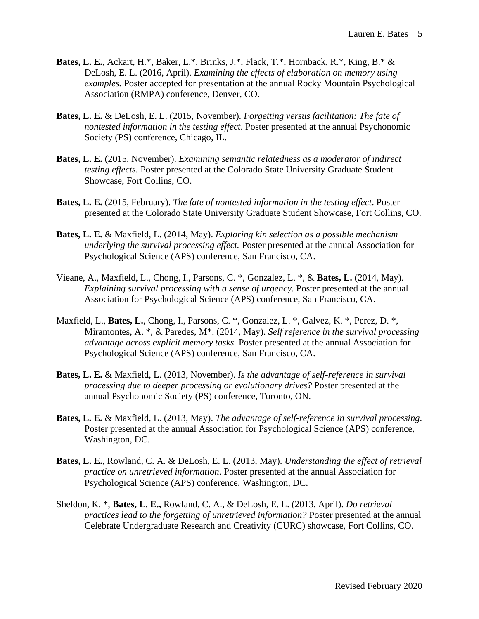- **Bates, L. E.**, Ackart, H.\*, Baker, L.\*, Brinks, J.\*, Flack, T.\*, Hornback, R.\*, King, B.\* & DeLosh, E. L. (2016, April). *Examining the effects of elaboration on memory using examples.* Poster accepted for presentation at the annual Rocky Mountain Psychological Association (RMPA) conference, Denver, CO.
- **Bates, L. E.** & DeLosh, E. L. (2015, November). *Forgetting versus facilitation: The fate of nontested information in the testing effect*. Poster presented at the annual Psychonomic Society (PS) conference, Chicago, IL.
- **Bates, L. E.** (2015, November). *Examining semantic relatedness as a moderator of indirect testing effects.* Poster presented at the Colorado State University Graduate Student Showcase, Fort Collins, CO.
- **Bates, L. E.** (2015, February). *The fate of nontested information in the testing effect*. Poster presented at the Colorado State University Graduate Student Showcase, Fort Collins, CO.
- **Bates, L. E.** & Maxfield, L. (2014, May). *Exploring kin selection as a possible mechanism underlying the survival processing effect.* Poster presented at the annual Association for Psychological Science (APS) conference, San Francisco, CA.
- Vieane, A., Maxfield, L., Chong, I., Parsons, C. \*, Gonzalez, L. \*, & **Bates, L.** (2014, May). *Explaining survival processing with a sense of urgency.* Poster presented at the annual Association for Psychological Science (APS) conference, San Francisco, CA.
- Maxfield, L., **Bates, L.**, Chong, I., Parsons, C. \*, Gonzalez, L. \*, Galvez, K. \*, Perez, D. \*, Miramontes, A. \*, & Paredes, M\*. (2014, May). *Self reference in the survival processing advantage across explicit memory tasks.* Poster presented at the annual Association for Psychological Science (APS) conference, San Francisco, CA.
- **Bates, L. E.** & Maxfield, L. (2013, November). *Is the advantage of self-reference in survival processing due to deeper processing or evolutionary drives?* Poster presented at the annual Psychonomic Society (PS) conference, Toronto, ON.
- **Bates, L. E.** & Maxfield, L. (2013, May). *The advantage of self-reference in survival processing.* Poster presented at the annual Association for Psychological Science (APS) conference, Washington, DC.
- **Bates, L. E.**, Rowland, C. A. & DeLosh, E. L. (2013, May). *Understanding the effect of retrieval practice on unretrieved information.* Poster presented at the annual Association for Psychological Science (APS) conference, Washington, DC.
- Sheldon, K. \*, **Bates, L. E.,** Rowland, C. A., & DeLosh, E. L. (2013, April). *Do retrieval practices lead to the forgetting of unretrieved information?* Poster presented at the annual Celebrate Undergraduate Research and Creativity (CURC) showcase, Fort Collins, CO.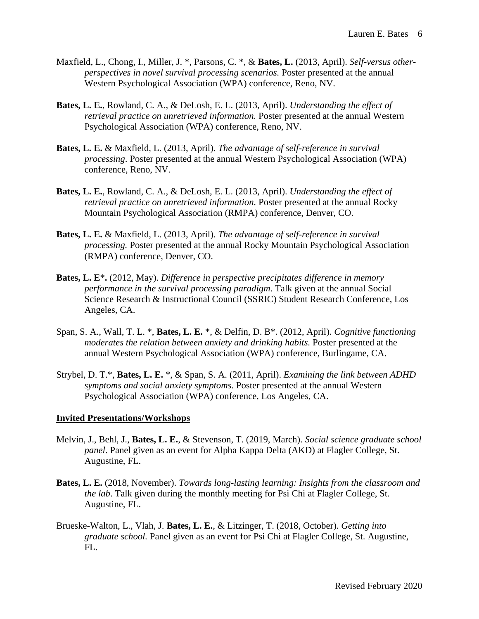- Maxfield, L., Chong, I., Miller, J. \*, Parsons, C. \*, & **Bates, L.** (2013, April). *Self-versus otherperspectives in novel survival processing scenarios.* Poster presented at the annual Western Psychological Association (WPA) conference, Reno, NV.
- **Bates, L. E.**, Rowland, C. A., & DeLosh, E. L. (2013, April). *Understanding the effect of retrieval practice on unretrieved information.* Poster presented at the annual Western Psychological Association (WPA) conference, Reno, NV.
- **Bates, L. E.** & Maxfield, L. (2013, April). *The advantage of self-reference in survival processing*. Poster presented at the annual Western Psychological Association (WPA) conference, Reno, NV.
- **Bates, L. E.**, Rowland, C. A., & DeLosh, E. L. (2013, April). *Understanding the effect of retrieval practice on unretrieved information.* Poster presented at the annual Rocky Mountain Psychological Association (RMPA) conference, Denver, CO.
- **Bates, L. E.** & Maxfield, L. (2013, April). *The advantage of self-reference in survival processing.* Poster presented at the annual Rocky Mountain Psychological Association (RMPA) conference, Denver, CO.
- **Bates, L. E**\***.** (2012, May). *Difference in perspective precipitates difference in memory performance in the survival processing paradigm*. Talk given at the annual Social Science Research & Instructional Council (SSRIC) Student Research Conference, Los Angeles, CA.
- Span, S. A., Wall, T. L. \*, **Bates, L. E.** \*, & Delfin, D. B\*. (2012, April). *Cognitive functioning moderates the relation between anxiety and drinking habits.* Poster presented at the annual Western Psychological Association (WPA) conference, Burlingame, CA.
- Strybel, D. T.\*, **Bates, L. E.** \*, & Span, S. A. (2011, April). *Examining the link between ADHD symptoms and social anxiety symptoms*. Poster presented at the annual Western Psychological Association (WPA) conference, Los Angeles, CA.

#### **Invited Presentations/Workshops**

- Melvin, J., Behl, J., **Bates, L. E.**, & Stevenson, T. (2019, March). *Social science graduate school panel*. Panel given as an event for Alpha Kappa Delta (AKD) at Flagler College, St. Augustine, FL.
- **Bates, L. E.** (2018, November). *Towards long-lasting learning: Insights from the classroom and the lab*. Talk given during the monthly meeting for Psi Chi at Flagler College, St. Augustine, FL.
- Brueske-Walton, L., Vlah, J. **Bates, L. E.**, & Litzinger, T. (2018, October). *Getting into graduate school.* Panel given as an event for Psi Chi at Flagler College, St. Augustine,  $FL.$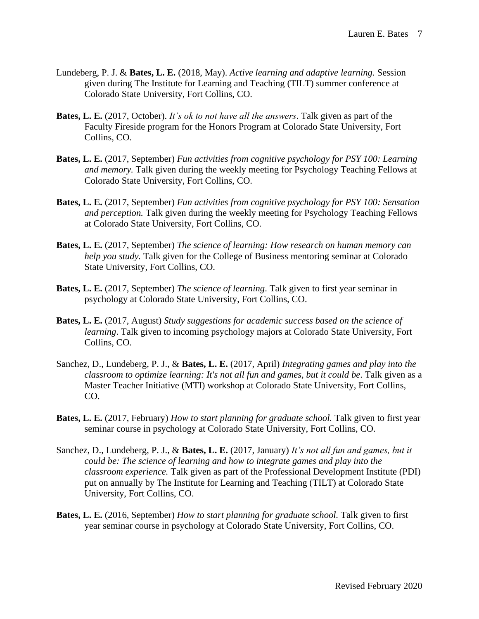- Lundeberg, P. J. & **Bates, L. E.** (2018, May). *Active learning and adaptive learning.* Session given during The Institute for Learning and Teaching (TILT) summer conference at Colorado State University, Fort Collins, CO.
- **Bates, L. E.** (2017, October). *It's ok to not have all the answers*. Talk given as part of the Faculty Fireside program for the Honors Program at Colorado State University, Fort Collins, CO.
- **Bates, L. E.** (2017, September) *Fun activities from cognitive psychology for PSY 100: Learning and memory.* Talk given during the weekly meeting for Psychology Teaching Fellows at Colorado State University, Fort Collins, CO.
- **Bates, L. E.** (2017, September) *Fun activities from cognitive psychology for PSY 100: Sensation and perception.* Talk given during the weekly meeting for Psychology Teaching Fellows at Colorado State University, Fort Collins, CO.
- **Bates, L. E.** (2017, September) *The science of learning: How research on human memory can help you study.* Talk given for the College of Business mentoring seminar at Colorado State University, Fort Collins, CO.
- **Bates, L. E.** (2017, September) *The science of learning*. Talk given to first year seminar in psychology at Colorado State University, Fort Collins, CO.
- **Bates, L. E.** (2017, August) *Study suggestions for academic success based on the science of learning*. Talk given to incoming psychology majors at Colorado State University, Fort Collins, CO.
- Sanchez, D., Lundeberg, P. J., & **Bates, L. E.** (2017, April) *Integrating games and play into the classroom to optimize learning: It's not all fun and games, but it could be*. Talk given as a Master Teacher Initiative (MTI) workshop at Colorado State University, Fort Collins, CO.
- **Bates, L. E.** (2017, February) *How to start planning for graduate school.* Talk given to first year seminar course in psychology at Colorado State University, Fort Collins, CO.
- Sanchez, D., Lundeberg, P. J., & **Bates, L. E.** (2017, January) *It's not all fun and games, but it could be: The science of learning and how to integrate games and play into the classroom experience.* Talk given as part of the Professional Development Institute (PDI) put on annually by The Institute for Learning and Teaching (TILT) at Colorado State University, Fort Collins, CO.
- **Bates, L. E.** (2016, September) *How to start planning for graduate school.* Talk given to first year seminar course in psychology at Colorado State University, Fort Collins, CO.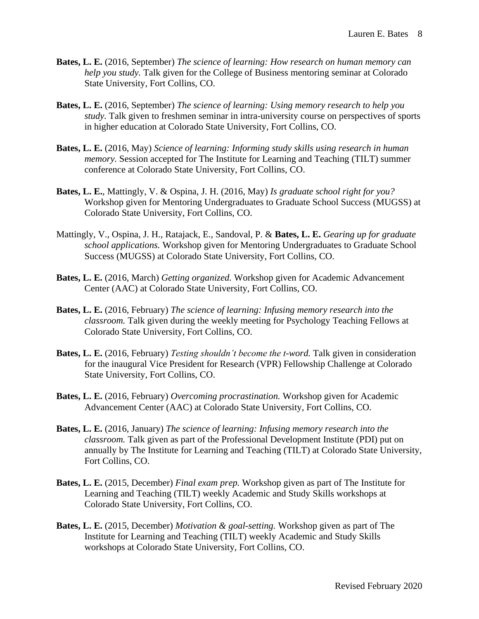- **Bates, L. E.** (2016, September) *The science of learning: How research on human memory can help you study.* Talk given for the College of Business mentoring seminar at Colorado State University, Fort Collins, CO.
- **Bates, L. E.** (2016, September) *The science of learning: Using memory research to help you study.* Talk given to freshmen seminar in intra-university course on perspectives of sports in higher education at Colorado State University, Fort Collins, CO.
- **Bates, L. E.** (2016, May) *Science of learning: Informing study skills using research in human memory.* Session accepted for The Institute for Learning and Teaching (TILT) summer conference at Colorado State University, Fort Collins, CO.
- **Bates, L. E.**, Mattingly, V. & Ospina, J. H. (2016, May) *Is graduate school right for you?* Workshop given for Mentoring Undergraduates to Graduate School Success (MUGSS) at Colorado State University, Fort Collins, CO.
- Mattingly, V., Ospina, J. H., Ratajack, E., Sandoval, P. & **Bates, L. E.** *Gearing up for graduate school applications.* Workshop given for Mentoring Undergraduates to Graduate School Success (MUGSS) at Colorado State University, Fort Collins, CO.
- **Bates, L. E.** (2016, March) *Getting organized.* Workshop given for Academic Advancement Center (AAC) at Colorado State University, Fort Collins, CO.
- **Bates, L. E.** (2016, February) *The science of learning: Infusing memory research into the classroom.* Talk given during the weekly meeting for Psychology Teaching Fellows at Colorado State University, Fort Collins, CO.
- **Bates, L. E.** (2016, February) *Testing shouldn't become the t-word.* Talk given in consideration for the inaugural Vice President for Research (VPR) Fellowship Challenge at Colorado State University, Fort Collins, CO.
- **Bates, L. E.** (2016, February) *Overcoming procrastination.* Workshop given for Academic Advancement Center (AAC) at Colorado State University, Fort Collins, CO.
- **Bates, L. E.** (2016, January) *The science of learning: Infusing memory research into the classroom.* Talk given as part of the Professional Development Institute (PDI) put on annually by The Institute for Learning and Teaching (TILT) at Colorado State University, Fort Collins, CO.
- **Bates, L. E.** (2015, December) *Final exam prep.* Workshop given as part of The Institute for Learning and Teaching (TILT) weekly Academic and Study Skills workshops at Colorado State University, Fort Collins, CO.
- **Bates, L. E.** (2015, December) *Motivation & goal-setting.* Workshop given as part of The Institute for Learning and Teaching (TILT) weekly Academic and Study Skills workshops at Colorado State University, Fort Collins, CO.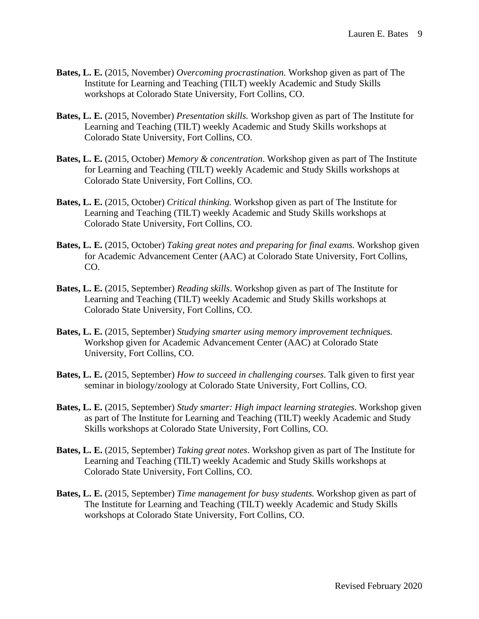- **Bates, L. E.** (2015, November) *Overcoming procrastination.* Workshop given as part of The Institute for Learning and Teaching (TILT) weekly Academic and Study Skills workshops at Colorado State University, Fort Collins, CO.
- **Bates, L. E.** (2015, November) *Presentation skills.* Workshop given as part of The Institute for Learning and Teaching (TILT) weekly Academic and Study Skills workshops at Colorado State University, Fort Collins, CO.
- **Bates, L. E.** (2015, October) *Memory & concentration*. Workshop given as part of The Institute for Learning and Teaching (TILT) weekly Academic and Study Skills workshops at Colorado State University, Fort Collins, CO.
- **Bates, L. E.** (2015, October) *Critical thinking.* Workshop given as part of The Institute for Learning and Teaching (TILT) weekly Academic and Study Skills workshops at Colorado State University, Fort Collins, CO.
- **Bates, L. E.** (2015, October) *Taking great notes and preparing for final exams.* Workshop given for Academic Advancement Center (AAC) at Colorado State University, Fort Collins, CO.
- **Bates, L. E.** (2015, September) *Reading skills*. Workshop given as part of The Institute for Learning and Teaching (TILT) weekly Academic and Study Skills workshops at Colorado State University, Fort Collins, CO.
- **Bates, L. E.** (2015, September) *Studying smarter using memory improvement techniques.*  Workshop given for Academic Advancement Center (AAC) at Colorado State University, Fort Collins, CO.
- **Bates, L. E.** (2015, September) *How to succeed in challenging courses*. Talk given to first year seminar in biology/zoology at Colorado State University, Fort Collins, CO.
- **Bates, L. E.** (2015, September) *Study smarter: High impact learning strategies*. Workshop given as part of The Institute for Learning and Teaching (TILT) weekly Academic and Study Skills workshops at Colorado State University, Fort Collins, CO.
- **Bates, L. E.** (2015, September) *Taking great notes*. Workshop given as part of The Institute for Learning and Teaching (TILT) weekly Academic and Study Skills workshops at Colorado State University, Fort Collins, CO.
- **Bates, L. E.** (2015, September) *Time management for busy students.* Workshop given as part of The Institute for Learning and Teaching (TILT) weekly Academic and Study Skills workshops at Colorado State University, Fort Collins, CO.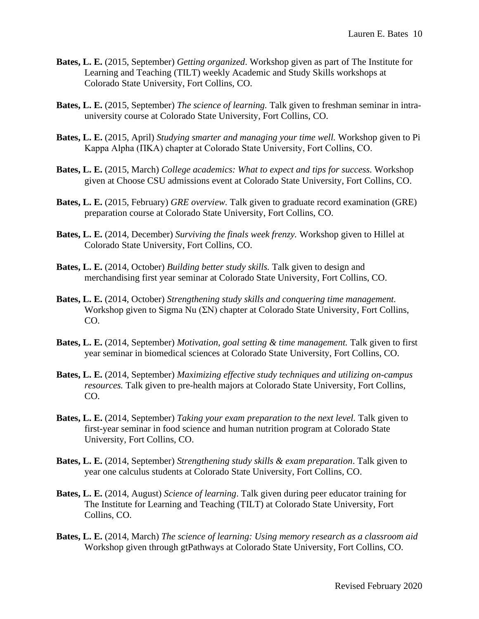- **Bates, L. E.** (2015, September) *Getting organized*. Workshop given as part of The Institute for Learning and Teaching (TILT) weekly Academic and Study Skills workshops at Colorado State University, Fort Collins, CO.
- **Bates, L. E.** (2015, September) *The science of learning.* Talk given to freshman seminar in intrauniversity course at Colorado State University, Fort Collins, CO.
- **Bates, L. E.** (2015, April) *Studying smarter and managing your time well.* Workshop given to Pi Kappa Alpha (ΠΚΑ) chapter at Colorado State University, Fort Collins, CO.
- **Bates, L. E.** (2015, March) *College academics: What to expect and tips for success.* Workshop given at Choose CSU admissions event at Colorado State University, Fort Collins, CO.
- **Bates, L. E.** (2015, February) *GRE overview.* Talk given to graduate record examination (GRE) preparation course at Colorado State University, Fort Collins, CO.
- **Bates, L. E.** (2014, December) *Surviving the finals week frenzy.* Workshop given to Hillel at Colorado State University, Fort Collins, CO.
- **Bates, L. E.** (2014, October) *Building better study skills.* Talk given to design and merchandising first year seminar at Colorado State University, Fort Collins, CO.
- **Bates, L. E.** (2014, October) *Strengthening study skills and conquering time management.*  Workshop given to Sigma Nu (ΣΝ) chapter at Colorado State University, Fort Collins, CO.
- **Bates, L. E.** (2014, September) *Motivation, goal setting & time management.* Talk given to first year seminar in biomedical sciences at Colorado State University, Fort Collins, CO.
- **Bates, L. E.** (2014, September) *Maximizing effective study techniques and utilizing on-campus resources.* Talk given to pre-health majors at Colorado State University, Fort Collins, CO.
- **Bates, L. E.** (2014, September) *Taking your exam preparation to the next level.* Talk given to first-year seminar in food science and human nutrition program at Colorado State University, Fort Collins, CO.
- **Bates, L. E.** (2014, September) *Strengthening study skills & exam preparation*. Talk given to year one calculus students at Colorado State University, Fort Collins, CO.
- **Bates, L. E.** (2014, August) *Science of learning*. Talk given during peer educator training for The Institute for Learning and Teaching (TILT) at Colorado State University, Fort Collins, CO.
- **Bates, L. E.** (2014, March) *The science of learning: Using memory research as a classroom aid*  Workshop given through gtPathways at Colorado State University, Fort Collins, CO.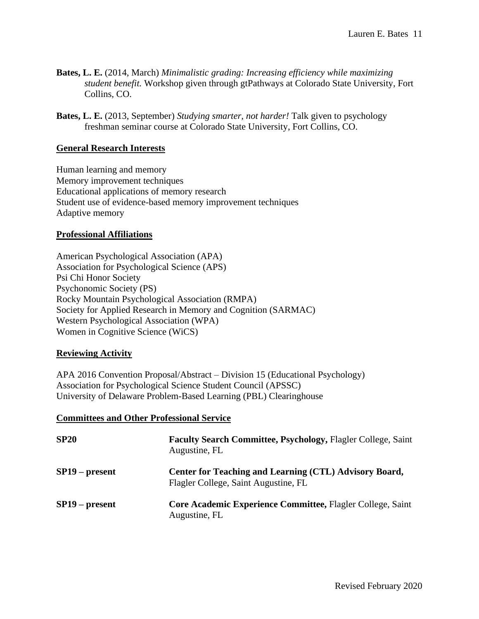- **Bates, L. E.** (2014, March) *Minimalistic grading: Increasing efficiency while maximizing student benefit.* Workshop given through gtPathways at Colorado State University, Fort Collins, CO.
- **Bates, L. E.** (2013, September) *Studying smarter, not harder!* Talk given to psychology freshman seminar course at Colorado State University, Fort Collins, CO.

#### **General Research Interests**

Human learning and memory Memory improvement techniques Educational applications of memory research Student use of evidence-based memory improvement techniques Adaptive memory

#### **Professional Affiliations**

American Psychological Association (APA) Association for Psychological Science (APS) Psi Chi Honor Society Psychonomic Society (PS) Rocky Mountain Psychological Association (RMPA) Society for Applied Research in Memory and Cognition (SARMAC) Western Psychological Association (WPA) Women in Cognitive Science (WiCS)

#### **Reviewing Activity**

APA 2016 Convention Proposal/Abstract – Division 15 (Educational Psychology) Association for Psychological Science Student Council (APSSC) University of Delaware Problem-Based Learning (PBL) Clearinghouse

#### **Committees and Other Professional Service**

| <b>SP20</b>      | <b>Faculty Search Committee, Psychology, Flagler College, Saint</b><br>Augustine, FL           |
|------------------|------------------------------------------------------------------------------------------------|
| $SP19$ – present | Center for Teaching and Learning (CTL) Advisory Board,<br>Flagler College, Saint Augustine, FL |
| $SP19$ – present | Core Academic Experience Committee, Flagler College, Saint<br>Augustine, FL                    |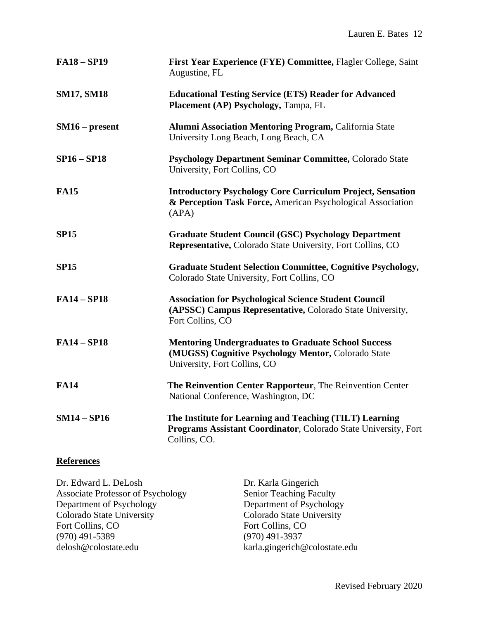| <b>FA18-SP19</b>  | First Year Experience (FYE) Committee, Flagler College, Saint<br>Augustine, FL                                                                    |
|-------------------|---------------------------------------------------------------------------------------------------------------------------------------------------|
| <b>SM17, SM18</b> | <b>Educational Testing Service (ETS) Reader for Advanced</b><br>Placement (AP) Psychology, Tampa, FL                                              |
| $SM16$ – present  | <b>Alumni Association Mentoring Program, California State</b><br>University Long Beach, Long Beach, CA                                            |
| $SP16 - SP18$     | Psychology Department Seminar Committee, Colorado State<br>University, Fort Collins, CO                                                           |
| <b>FA15</b>       | <b>Introductory Psychology Core Curriculum Project, Sensation</b><br>& Perception Task Force, American Psychological Association<br>(APA)         |
| <b>SP15</b>       | <b>Graduate Student Council (GSC) Psychology Department</b><br>Representative, Colorado State University, Fort Collins, CO                        |
| <b>SP15</b>       | <b>Graduate Student Selection Committee, Cognitive Psychology,</b><br>Colorado State University, Fort Collins, CO                                 |
| <b>FA14-SP18</b>  | <b>Association for Psychological Science Student Council</b><br>(APSSC) Campus Representative, Colorado State University,<br>Fort Collins, CO     |
| <b>FA14-SP18</b>  | <b>Mentoring Undergraduates to Graduate School Success</b><br>(MUGSS) Cognitive Psychology Mentor, Colorado State<br>University, Fort Collins, CO |
| <b>FA14</b>       | The Reinvention Center Rapporteur, The Reinvention Center<br>National Conference, Washington, DC                                                  |
| $SM14 - SP16$     | The Institute for Learning and Teaching (TILT) Learning<br>Programs Assistant Coordinator, Colorado State University, Fort<br>Collins, CO.        |

# **References**

| Dr. Edward L. DeLosh                     | Dr. Karla Gingerich            |
|------------------------------------------|--------------------------------|
| <b>Associate Professor of Psychology</b> | <b>Senior Teaching Faculty</b> |
| Department of Psychology                 | Department of Psychology       |
| <b>Colorado State University</b>         | Colorado State University      |
| Fort Collins, CO                         | Fort Collins, CO               |
| $(970)$ 491-5389                         | $(970)$ 491-3937               |
| delosh@colostate.edu                     | karla.gingerich@colostate.edu  |